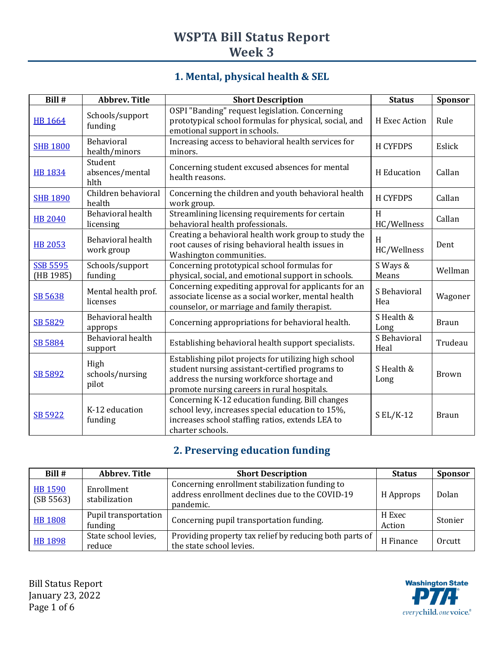# **WSPTA Bill Status Report Week 3**

## **1. Mental, physical health & SEL**

| Bill #                       | Abbrev. Title                      | <b>Short Description</b>                                                                                                                                                                              | <b>Status</b>        | Sponsor      |
|------------------------------|------------------------------------|-------------------------------------------------------------------------------------------------------------------------------------------------------------------------------------------------------|----------------------|--------------|
| <b>HB 1664</b>               | Schools/support<br>funding         | OSPI "Banding" request legislation. Concerning<br>prototypical school formulas for physical, social, and<br>emotional support in schools.                                                             | H Exec Action        | Rule         |
| <b>SHB 1800</b>              | Behavioral<br>health/minors        | Increasing access to behavioral health services for<br>minors.                                                                                                                                        | <b>H CYFDPS</b>      | Eslick       |
| HB 1834                      | Student<br>absences/mental<br>hlth | Concerning student excused absences for mental<br>health reasons.                                                                                                                                     | H Education          | Callan       |
| <b>SHB 1890</b>              | Children behavioral<br>health      | Concerning the children and youth behavioral health<br>work group.                                                                                                                                    | <b>H CYFDPS</b>      | Callan       |
| <b>HB 2040</b>               | Behavioral health<br>licensing     | Streamlining licensing requirements for certain<br>behavioral health professionals.                                                                                                                   | H<br>HC/Wellness     | Callan       |
| <b>HB 2053</b>               | Behavioral health<br>work group    | Creating a behavioral health work group to study the<br>root causes of rising behavioral health issues in<br>Washington communities.                                                                  | H<br>HC/Wellness     | Dent         |
| <b>SSB 5595</b><br>(HB 1985) | Schools/support<br>funding         | Concerning prototypical school formulas for<br>physical, social, and emotional support in schools.                                                                                                    | S Ways &<br>Means    | Wellman      |
| SB 5638                      | Mental health prof.<br>licenses    | Concerning expediting approval for applicants for an<br>associate license as a social worker, mental health<br>counselor, or marriage and family therapist.                                           | S Behavioral<br>Hea  | Wagoner      |
| SB 5829                      | Behavioral health<br>approps       | Concerning appropriations for behavioral health.                                                                                                                                                      | S Health &<br>Long   | <b>Braun</b> |
| <b>SB 5884</b>               | Behavioral health<br>support       | Establishing behavioral health support specialists.                                                                                                                                                   | S Behavioral<br>Heal | Trudeau      |
| SB 5892                      | High<br>schools/nursing<br>pilot   | Establishing pilot projects for utilizing high school<br>student nursing assistant-certified programs to<br>address the nursing workforce shortage and<br>promote nursing careers in rural hospitals. | S Health &<br>Long   | <b>Brown</b> |
| SB 5922                      | K-12 education<br>funding          | Concerning K-12 education funding. Bill changes<br>school levy, increases special education to 15%,<br>increases school staffing ratios, extends LEA to<br>charter schools.                           | $S EL/K-12$          | <b>Braun</b> |

## **2. Preserving education funding**

| Bill#                       | Abbrev. Title                   | <b>Short Description</b>                                                                                       | <b>Status</b>    | <b>Sponsor</b> |
|-----------------------------|---------------------------------|----------------------------------------------------------------------------------------------------------------|------------------|----------------|
| <b>HB 1590</b><br>(SB 5563) | Enrollment<br>stabilization     | Concerning enrollment stabilization funding to<br>address enrollment declines due to the COVID-19<br>pandemic. | H Approps        | Dolan          |
| <b>HB 1808</b>              | Pupil transportation<br>funding | Concerning pupil transportation funding.                                                                       | H Exec<br>Action | Stonier        |
| <b>HB 1898</b>              | State school levies,<br>reduce  | Providing property tax relief by reducing both parts of<br>the state school levies.                            | H Finance        | Orcutt         |

Bill Status Report January 23, 2022 Page 1 of 6

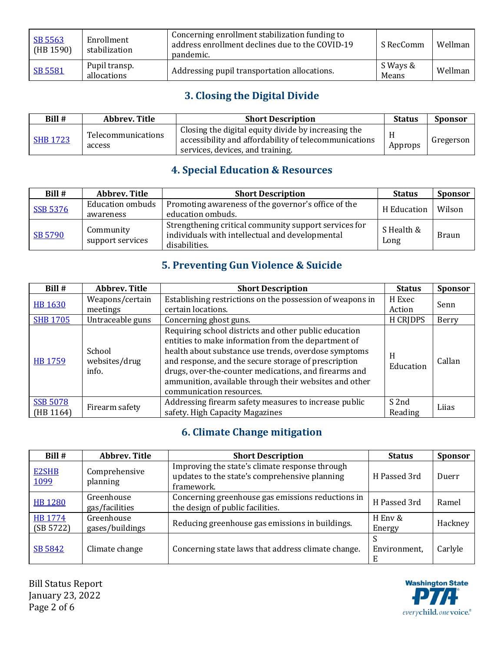| SB 5563<br>(HB 1590) | Enrollment<br>stabilization  | Concerning enrollment stabilization funding to<br>address enrollment declines due to the COVID-19<br>pandemic. | S RecComm         | Wellman |
|----------------------|------------------------------|----------------------------------------------------------------------------------------------------------------|-------------------|---------|
| <b>SB 5581</b>       | Pupil transp.<br>allocations | Addressing pupil transportation allocations.                                                                   | S Ways &<br>Means | Wellman |

## **3. Closing the Digital Divide**

| Bill #          | Abbrev. Title                | <b>Short Description</b>                                                                                                                         | <b>Status</b> | <b>Sponsor</b> |
|-----------------|------------------------------|--------------------------------------------------------------------------------------------------------------------------------------------------|---------------|----------------|
| <b>SHB 1723</b> | Telecommunications<br>access | Closing the digital equity divide by increasing the<br>accessibility and affordability of telecommunications<br>services, devices, and training. | Approps       | Gregerson      |

## **4. Special Education & Resources**

| Bill #          | Abbrev. Title                        | <b>Short Description</b>                                                                                                  | <b>Status</b>      | <b>Sponsor</b> |
|-----------------|--------------------------------------|---------------------------------------------------------------------------------------------------------------------------|--------------------|----------------|
| <b>SSB 5376</b> | <b>Education ombuds</b><br>awareness | Promoting awareness of the governor's office of the<br>education ombuds.                                                  | H Education        | Wilson         |
| SB 5790         | Community<br>support services        | Strengthening critical community support services for<br>individuals with intellectual and developmental<br>disabilities. | S Health &<br>Long | <b>Braun</b>   |

## **5. Preventing Gun Violence & Suicide**

| Bill #                       | <b>Abbrev. Title</b>             | <b>Short Description</b>                                                                                                                                                                                                                                                                                                                                                    | <b>Status</b>    | <b>Sponsor</b> |
|------------------------------|----------------------------------|-----------------------------------------------------------------------------------------------------------------------------------------------------------------------------------------------------------------------------------------------------------------------------------------------------------------------------------------------------------------------------|------------------|----------------|
| <b>HB 1630</b>               | Weapons/certain                  | Establishing restrictions on the possession of weapons in                                                                                                                                                                                                                                                                                                                   | H Exec           | Senn           |
|                              | meetings                         | certain locations.                                                                                                                                                                                                                                                                                                                                                          | Action           |                |
| <b>SHB 1705</b>              | Untraceable guns                 | Concerning ghost guns.                                                                                                                                                                                                                                                                                                                                                      | <b>H CRIDPS</b>  | Berry          |
| HB 1759                      | School<br>websites/drug<br>info. | Requiring school districts and other public education<br>entities to make information from the department of<br>health about substance use trends, overdose symptoms<br>and response, and the secure storage of prescription<br>drugs, over-the-counter medications, and firearms and<br>ammunition, available through their websites and other<br>communication resources. | H<br>Education   | Callan         |
| <b>SSB 5078</b><br>(HB 1164) | Firearm safety                   | Addressing firearm safety measures to increase public<br>safety. High Capacity Magazines                                                                                                                                                                                                                                                                                    | S 2nd<br>Reading | Lijas          |

## **6. Climate Change mitigation**

| Bill #               | <b>Abbrev. Title</b>          | <b>Short Description</b>                                                                                      | <b>Status</b>     | <b>Sponsor</b> |
|----------------------|-------------------------------|---------------------------------------------------------------------------------------------------------------|-------------------|----------------|
| <b>E2SHB</b><br>1099 | Comprehensive<br>planning     | Improving the state's climate response through<br>updates to the state's comprehensive planning<br>framework. | H Passed 3rd      | Duerr          |
| <b>HB 1280</b>       | Greenhouse<br>gas/facilities  | Concerning greenhouse gas emissions reductions in<br>the design of public facilities.                         | H Passed 3rd      | Ramel          |
| HB 1774<br>(SB 5722) | Greenhouse<br>gases/buildings | Reducing greenhouse gas emissions in buildings.                                                               | H Env &<br>Energy | Hackney        |
| SB 5842              | Climate change                | Concerning state laws that address climate change.                                                            | Environment,<br>E | Carlyle        |

Bill Status Report January 23, 2022 Page 2 of 6

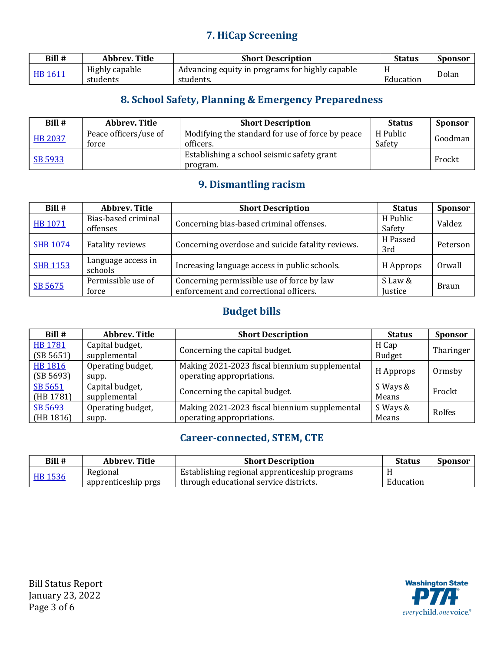### **7. HiCap Screening**

| Bill #  | Abbrev. Title  | <b>Short Description</b>                                     | Status    | <b>Sponsor</b> |
|---------|----------------|--------------------------------------------------------------|-----------|----------------|
| HB 1611 | Highly capable | <sup>1</sup> Advancing equity in programs for highly capable |           |                |
|         | students       | students.                                                    | Education | Dolan          |

## **8. School Safety, Planning & Emergency Preparedness**

| Bill #         | Abbrev. Title         | <b>Short Description</b>                         | <b>Status</b> | <b>Sponsor</b> |
|----------------|-----------------------|--------------------------------------------------|---------------|----------------|
| <b>HB 2037</b> | Peace officers/use of | Modifying the standard for use of force by peace | H Public      |                |
|                | force                 | officers.                                        | Safety        | Goodman        |
|                |                       | Establishing a school seismic safety grant       |               | Frockt         |
| SB 5933        |                       | program.                                         |               |                |

### **9. Dismantling racism**

| Bill #          | <b>Abbrev. Title</b>            | <b>Short Description</b>                                                             | <b>Status</b>      | <b>Sponsor</b> |
|-----------------|---------------------------------|--------------------------------------------------------------------------------------|--------------------|----------------|
| <b>HB 1071</b>  | Bias-based criminal<br>offenses | Concerning bias-based criminal offenses.                                             | H Public<br>Safety | Valdez         |
| <b>SHB 1074</b> | <b>Fatality reviews</b>         | Concerning overdose and suicide fatality reviews.                                    | H Passed<br>3rd    | Peterson       |
| <b>SHB 1153</b> | Language access in<br>schools   | Increasing language access in public schools.                                        | H Approps          | Orwall         |
| SB 5675         | Permissible use of<br>force     | Concerning permissible use of force by law<br>enforcement and correctional officers. | S Law &<br>Justice | <b>Braun</b>   |

### **Budget bills**

| Bill #                      | Abbrev. Title                   | <b>Short Description</b>                                                   | <b>Status</b>          | <b>Sponsor</b> |
|-----------------------------|---------------------------------|----------------------------------------------------------------------------|------------------------|----------------|
| <b>HB1781</b><br>(SB 5651)  | Capital budget,<br>supplemental | Concerning the capital budget.                                             | H Cap<br><b>Budget</b> | Tharinger      |
| <b>HB 1816</b><br>(SB 5693) | Operating budget,<br>supp.      | Making 2021-2023 fiscal biennium supplemental<br>operating appropriations. | H Approps              | Ormsby         |
| SB 5651<br>(HB 1781)        | Capital budget,<br>supplemental | Concerning the capital budget.                                             | S Ways &<br>Means      | Frockt         |
| SB 5693<br>(HB 1816)        | Operating budget,<br>supp.      | Making 2021-2023 fiscal biennium supplemental<br>operating appropriations. | S Ways &<br>Means      | Rolfes         |

### **Career-connected, STEM, CTE**

| Bill #  | Abbrev. Title       | <b>Short Description</b>                      | Status    | <b>Sponsor</b> |
|---------|---------------------|-----------------------------------------------|-----------|----------------|
| HB 1536 | Regional            | Establishing regional apprenticeship programs |           |                |
|         | apprenticeship prgs | through educational service districts.        | Education |                |

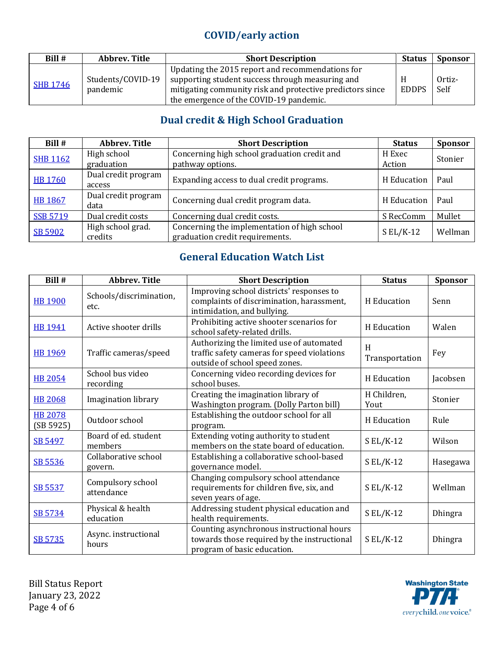## **COVID/early action**

| Bill #          | <b>Abbrev. Title</b>          | <b>Short Description</b>                                                                                                                                                                                     | <b>Status</b> | <b>Sponsor</b> |
|-----------------|-------------------------------|--------------------------------------------------------------------------------------------------------------------------------------------------------------------------------------------------------------|---------------|----------------|
| <b>SHB 1746</b> | Students/COVID-19<br>pandemic | Updating the 2015 report and recommendations for<br>supporting student success through measuring and<br>mitigating community risk and protective predictors since<br>the emergence of the COVID-19 pandemic. | <b>EDDPS</b>  | Ortiz-<br>Self |

## **Dual credit & High School Graduation**

| Bill #          | <b>Abbrev. Title</b> | <b>Short Description</b>                     | <b>Status</b> | <b>Sponsor</b> |
|-----------------|----------------------|----------------------------------------------|---------------|----------------|
| <b>SHB 1162</b> | High school          | Concerning high school graduation credit and | H Exec        | Stonier        |
|                 | graduation           | pathway options.                             | Action        |                |
| <b>HB 1760</b>  | Dual credit program  | Expanding access to dual credit programs.    | H Education   | Paul           |
|                 | access               |                                              |               |                |
| <b>HB 1867</b>  | Dual credit program  | Concerning dual credit program data.         | H Education   | Paul           |
|                 | data                 |                                              |               |                |
| <b>SSB 5719</b> | Dual credit costs    | Concerning dual credit costs.                | S RecComm     | Mullet         |
|                 | High school grad.    | Concerning the implementation of high school | $S EL/K-12$   | Wellman        |
| SB 5902         | credits              | graduation credit requirements.              |               |                |

## **General Education Watch List**

| Bill #                      | <b>Abbrev. Title</b>            | <b>Short Description</b>                                                                                                  | <b>Status</b>       | <b>Sponsor</b> |
|-----------------------------|---------------------------------|---------------------------------------------------------------------------------------------------------------------------|---------------------|----------------|
| <b>HB 1900</b>              | Schools/discrimination,<br>etc. | Improving school districts' responses to<br>complaints of discrimination, harassment,<br>intimidation, and bullying.      | H Education         | Senn           |
| <b>HB 1941</b>              | Active shooter drills           | Prohibiting active shooter scenarios for<br>school safety-related drills.                                                 | H Education         | Walen          |
| HB 1969                     | Traffic cameras/speed           | Authorizing the limited use of automated<br>traffic safety cameras for speed violations<br>outside of school speed zones. | H<br>Transportation | Fey            |
| <b>HB 2054</b>              | School bus video<br>recording   | Concerning video recording devices for<br>school buses.                                                                   | H Education         | Jacobsen       |
| <b>HB 2068</b>              | <b>Imagination library</b>      | Creating the imagination library of<br>Washington program. (Dolly Parton bill)                                            | H Children,<br>Yout | Stonier        |
| <b>HB 2078</b><br>(SB 5925) | Outdoor school                  | Establishing the outdoor school for all<br>program.                                                                       | H Education         | Rule           |
| SB 5497                     | Board of ed. student<br>members | Extending voting authority to student<br>members on the state board of education.                                         | $S EL/K-12$         | Wilson         |
| SB 5536                     | Collaborative school<br>govern. | Establishing a collaborative school-based<br>governance model.                                                            | $S EL/K-12$         | Hasegawa       |
| SB 5537                     | Compulsory school<br>attendance | Changing compulsory school attendance<br>requirements for children five, six, and<br>seven years of age.                  | $SL/K-12$           | Wellman        |
| SB 5734                     | Physical & health<br>education  | Addressing student physical education and<br>health requirements.                                                         | $S EL/K-12$         | <b>Dhingra</b> |
| SB 5735                     | Async. instructional<br>hours   | Counting asynchronous instructional hours<br>towards those required by the instructional<br>program of basic education.   | $S EL/K-12$         | <b>Dhingra</b> |

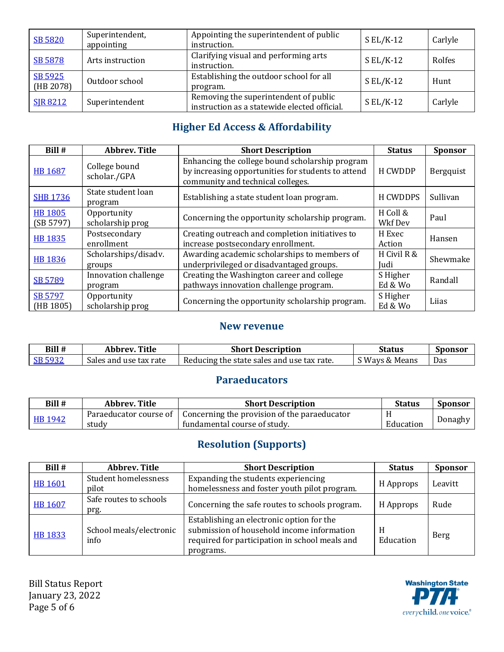| <b>SB 5820</b>       | Superintendent,<br>appointing | Appointing the superintendent of public<br>instruction.                               | $S EL/K-12$ | Carlyle |
|----------------------|-------------------------------|---------------------------------------------------------------------------------------|-------------|---------|
| SB 5878              | Arts instruction              | Clarifying visual and performing arts<br>instruction.                                 | $S EL/K-12$ | Rolfes  |
| SB 5925<br>(HB 2078) | Outdoor school                | Establishing the outdoor school for all<br>program.                                   | $S EL/K-12$ | Hunt    |
| <b>SIR 8212</b>      | Superintendent                | Removing the superintendent of public<br>instruction as a statewide elected official. | $S EL/K-12$ | Carlyle |

## **Higher Ed Access & Affordability**

| Bill #                      | <b>Abbrev. Title</b>            | <b>Short Description</b>                                                                                                                   | <b>Status</b>       | <b>Sponsor</b> |
|-----------------------------|---------------------------------|--------------------------------------------------------------------------------------------------------------------------------------------|---------------------|----------------|
| <b>HB 1687</b>              | College bound<br>scholar./GPA   | Enhancing the college bound scholarship program<br>by increasing opportunities for students to attend<br>community and technical colleges. | H CWDDP             | Bergquist      |
| <b>SHB 1736</b>             | State student loan<br>program   | Establishing a state student loan program.                                                                                                 | H CWDDPS            | Sullivan       |
| <b>HB 1805</b><br>(SB 5797) | Opportunity<br>scholarship prog | Concerning the opportunity scholarship program.                                                                                            | H Coll &<br>Wkf Dev | Paul           |
| <b>HB 1835</b>              | Postsecondary<br>enrollment     | Creating outreach and completion initiatives to<br>increase postsecondary enrollment.                                                      | H Exec<br>Action    | Hansen         |
| <b>HB 1836</b>              | Scholarships/disadv.<br>groups  | Awarding academic scholarships to members of<br>underprivileged or disadvantaged groups.                                                   | H Civil R &<br>Judi | Shewmake       |
| SB 5789                     | Innovation challenge<br>program | Creating the Washington career and college<br>pathways innovation challenge program.                                                       | S Higher<br>Ed & Wo | Randall        |
| SB 5797<br>(HB 1805)        | Opportunity<br>scholarship prog | Concerning the opportunity scholarship program.                                                                                            | S Higher<br>Ed & Wo | Liias          |

#### **New revenue**

| Bill #  | Title<br>Abbrev.       | <b>Short Description</b>                   | Status         | Sponsor |
|---------|------------------------|--------------------------------------------|----------------|---------|
| SB 5932 | Sales and use tax rate | Reducing the state sales and use tax rate. | S Ways & Means | Das     |

#### **Paraeducators**

| Bill #  | Abbrev. Title          | <b>Short Description</b>                     | Status    | <b>Sponsor</b> |
|---------|------------------------|----------------------------------------------|-----------|----------------|
| HB 1942 | Paraeducator course of | Concerning the provision of the paraeducator |           |                |
|         | study                  | fundamental course of study.                 | Education | Donaghy        |

## **Resolution (Supports)**

| Bill#          | <b>Abbrev. Title</b>            | <b>Short Description</b>                                                                                                                               | <b>Status</b>  | <b>Sponsor</b> |
|----------------|---------------------------------|--------------------------------------------------------------------------------------------------------------------------------------------------------|----------------|----------------|
| <b>HB 1601</b> | Student homelessness<br>pilot   | Expanding the students experiencing<br>homelessness and foster youth pilot program.                                                                    | H Approps      | Leavitt        |
| HB 1607        | Safe routes to schools<br>prg.  | Concerning the safe routes to schools program.                                                                                                         | H Approps      | Rude           |
| HB 1833        | School meals/electronic<br>info | Establishing an electronic option for the<br>submission of household income information<br>required for participation in school meals and<br>programs. | H<br>Education | Berg           |

Bill Status Report January 23, 2022 Page 5 of 6